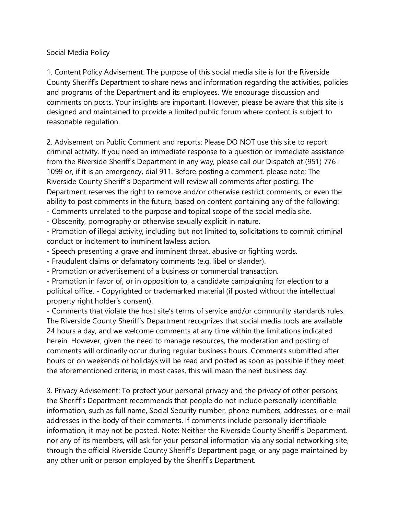## Social Media Policy

1. Content Policy Advisement: The purpose of this social media site is for the Riverside County Sheriff's Department to share news and information regarding the activities, policies and programs of the Department and its employees. We encourage discussion and comments on posts. Your insights are important. However, please be aware that this site is designed and maintained to provide a limited public forum where content is subject to reasonable regulation.

2. Advisement on Public Comment and reports: Please DO NOT use this site to report criminal activity. If you need an immediate response to a question or immediate assistance from the Riverside Sheriff's Department in any way, please call our Dispatch at (951) 776- 1099 or, if it is an emergency, dial 911. Before posting a comment, please note: The Riverside County Sheriff's Department will review all comments after posting. The Department reserves the right to remove and/or otherwise restrict comments, or even the ability to post comments in the future, based on content containing any of the following: - Comments unrelated to the purpose and topical scope of the social media site.

- Obscenity, pornography or otherwise sexually explicit in nature.

- Promotion of illegal activity, including but not limited to, solicitations to commit criminal conduct or incitement to imminent lawless action.

- Speech presenting a grave and imminent threat, abusive or fighting words.
- Fraudulent claims or defamatory comments (e.g. libel or slander).
- Promotion or advertisement of a business or commercial transaction.

- Promotion in favor of, or in opposition to, a candidate campaigning for election to a political office. - Copyrighted or trademarked material (if posted without the intellectual property right holder's consent).

- Comments that violate the host site's terms of service and/or community standards rules. The Riverside County Sheriff's Department recognizes that social media tools are available 24 hours a day, and we welcome comments at any time within the limitations indicated herein. However, given the need to manage resources, the moderation and posting of comments will ordinarily occur during regular business hours. Comments submitted after hours or on weekends or holidays will be read and posted as soon as possible if they meet the aforementioned criteria; in most cases, this will mean the next business day.

3. Privacy Advisement: To protect your personal privacy and the privacy of other persons, the Sheriff's Department recommends that people do not include personally identifiable information, such as full name, Social Security number, phone numbers, addresses, or e-mail addresses in the body of their comments. If comments include personally identifiable information, it may not be posted. Note: Neither the Riverside County Sheriff's Department, nor any of its members, will ask for your personal information via any social networking site, through the official Riverside County Sheriff's Department page, or any page maintained by any other unit or person employed by the Sheriff's Department.